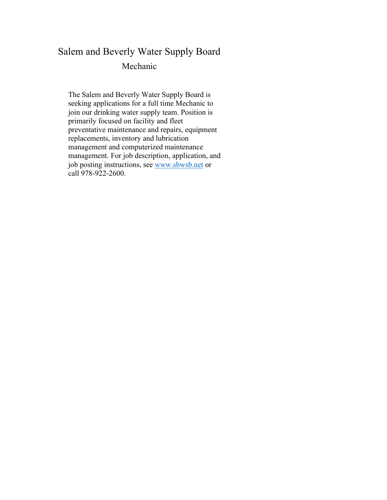# Salem and Beverly Water Supply Board Mechanic

The Salem and Beverly Water Supply Board is seeking applications for a full time Mechanic to join our drinking water supply team. Position is primarily focused on facility and fleet preventative maintenance and repairs, equipment replacements, inventory and lubrication management and computerized maintenance management. For job description, application, and job posting instructions, see [www.sbwsb.net](http://www.sbwsb.net/) or call 978-922-2600.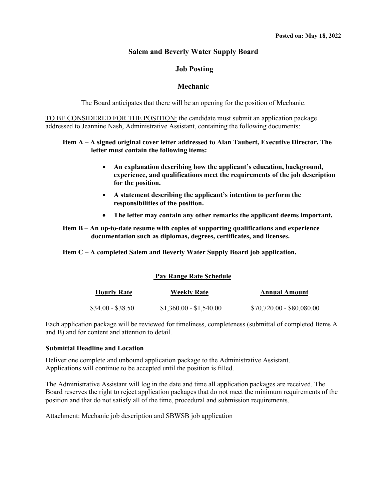#### **Salem and Beverly Water Supply Board**

#### **Job Posting**

#### **Mechanic**

The Board anticipates that there will be an opening for the position of Mechanic.

TO BE CONSIDERED FOR THE POSITION: the candidate must submit an application package addressed to Jeannine Nash, Administrative Assistant, containing the following documents:

#### **Item A – A signed original cover letter addressed to Alan Taubert, Executive Director. The letter must contain the following items:**

- **An explanation describing how the applicant's education, background, experience, and qualifications meet the requirements of the job description for the position.**
- **A statement describing the applicant's intention to perform the responsibilities of the position.**
- **The letter may contain any other remarks the applicant deems important.**
- **Item B – An up-to-date resume with copies of supporting qualifications and experience documentation such as diplomas, degrees, certificates, and licenses.**

**Item C – A completed Salem and Beverly Water Supply Board job application.**

#### **Pay Range Rate Schedule**

| <b>Hourly Rate</b> |                   | <b>Weekly Rate</b>      | <b>Annual Amount</b>      |
|--------------------|-------------------|-------------------------|---------------------------|
|                    | $$34.00 - $38.50$ | $$1,360.00 - $1,540.00$ | \$70,720.00 - \$80,080.00 |

Each application package will be reviewed for timeliness, completeness (submittal of completed Items A and B) and for content and attention to detail.

#### **Submittal Deadline and Location**

Deliver one complete and unbound application package to the Administrative Assistant. Applications will continue to be accepted until the position is filled.

The Administrative Assistant will log in the date and time all application packages are received. The Board reserves the right to reject application packages that do not meet the minimum requirements of the position and that do not satisfy all of the time, procedural and submission requirements.

Attachment: Mechanic job description and SBWSB job application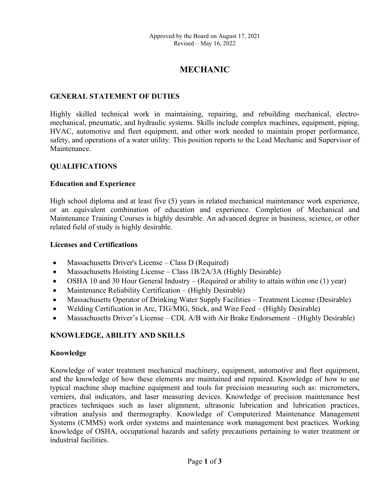# **MECHANIC**

### **GENERAL STATEMENT OF DUTIES**

Highly skilled technical work in maintaining, repairing, and rebuilding mechanical, electromechanical, pneumatic, and hydraulic systems. Skills include complex machines, equipment, piping, HVAC, automotive and fleet equipment, and other work needed to maintain proper performance, safety, and operations of a water utility. This position reports to the Lead Mechanic and Supervisor of Maintenance.

#### **QUALIFICATIONS**

#### **Education and Experience**

High school diploma and at least five (5) years in related mechanical maintenance work experience, or an equivalent combination of education and experience. Completion of Mechanical and Maintenance Training Courses is highly desirable. An advanced degree in business, science, or other related field of study is highly desirable.

#### **Licenses and Certifications**

- Massachusetts Driver's License Class D (Required)
- Massachusetts Hoisting License Class 1B/2A/3A (Highly Desirable)
- OSHA 10 and 30 Hour General Industry (Required or ability to attain within one (1) year)
- Maintenance Reliability Certification (Highly Desirable)
- Massachusetts Operator of Drinking Water Supply Facilities Treatment License (Desirable)
- Welding Certification in Arc, TIG/MIG, Stick, and Wire Feed (Highly Desirable)
- Massachusetts Driver's License CDL A/B with Air Brake Endorsement (Highly Desirable)

#### **KNOWLEDGE, ABILITY AND SKILLS**

#### **Knowledge**

Knowledge of water treatment mechanical machinery, equipment, automotive and fleet equipment, and the knowledge of how these elements are maintained and repaired. Knowledge of how to use typical machine shop machine equipment and tools for precision measuring such as: micrometers, verniers, dial indicators, and laser measuring devices. Knowledge of precision maintenance best practices techniques such as laser alignment, ultrasonic lubrication and lubrication practices, vibration analysis and thermography. Knowledge of Computerized Maintenance Management Systems (CMMS) work order systems and maintenance work management best practices. Working knowledge of OSHA, occupational hazards and safety precautions pertaining to water treatment or industrial facilities.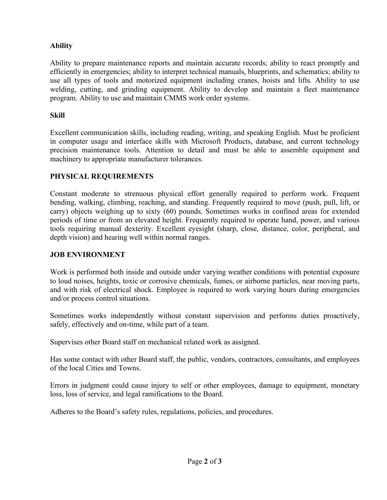### **Ability**

Ability to prepare maintenance reports and maintain accurate records; ability to react promptly and efficiently in emergencies; ability to interpret technical manuals, blueprints, and schematics; ability to use all types of tools and motorized equipment including cranes, hoists and lifts*.* Ability to use welding, cutting, and grinding equipment. Ability to develop and maintain a fleet maintenance program. Ability to use and maintain CMMS work order systems.

### **Skill**

Excellent communication skills, including reading, writing, and speaking English. Must be proficient in computer usage and interface skills with Microsoft Products, database, and current technology precision maintenance tools. Attention to detail and must be able to assemble equipment and machinery to appropriate manufacturer tolerances.

### **PHYSICAL REQUIREMENTS**

Constant moderate to strenuous physical effort generally required to perform work. Frequent bending, walking, climbing, reaching, and standing. Frequently required to move (push, pull, lift, or carry) objects weighing up to sixty (60) pounds. Sometimes works in confined areas for extended periods of time or from an elevated height. Frequently required to operate hand, power, and various tools requiring manual dexterity. Excellent eyesight (sharp, close, distance, color, peripheral, and depth vision) and hearing well within normal ranges.

### **JOB ENVIRONMENT**

Work is performed both inside and outside under varying weather conditions with potential exposure to loud noises, heights, toxic or corrosive chemicals, fumes, or airborne particles, near moving parts, and with risk of electrical shock. Employee is required to work varying hours during emergencies and/or process control situations.

Sometimes works independently without constant supervision and performs duties proactively, safely, effectively and on-time, while part of a team.

Supervises other Board staff on mechanical related work as assigned.

Has some contact with other Board staff, the public, vendors, contractors, consultants, and employees of the local Cities and Towns.

Errors in judgment could cause injury to self or other employees, damage to equipment, monetary loss, loss of service, and legal ramifications to the Board.

Adheres to the Board's safety rules, regulations, policies, and procedures.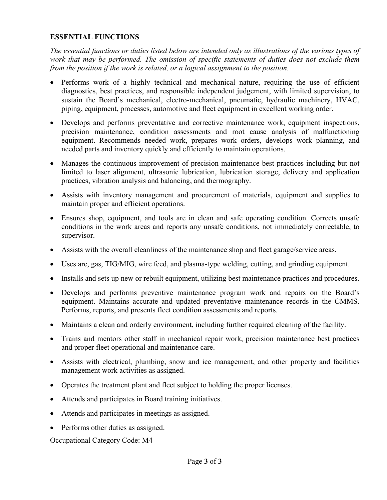### **ESSENTIAL FUNCTIONS**

*The essential functions or duties listed below are intended only as illustrations of the various types of work that may be performed. The omission of specific statements of duties does not exclude them from the position if the work is related, or a logical assignment to the position.*

- Performs work of a highly technical and mechanical nature, requiring the use of efficient diagnostics, best practices, and responsible independent judgement, with limited supervision, to sustain the Board's mechanical, electro-mechanical, pneumatic, hydraulic machinery, HVAC, piping, equipment, processes, automotive and fleet equipment in excellent working order.
- Develops and performs preventative and corrective maintenance work, equipment inspections, precision maintenance, condition assessments and root cause analysis of malfunctioning equipment. Recommends needed work, prepares work orders, develops work planning, and needed parts and inventory quickly and efficiently to maintain operations.
- Manages the continuous improvement of precision maintenance best practices including but not limited to laser alignment, ultrasonic lubrication, lubrication storage, delivery and application practices, vibration analysis and balancing, and thermography.
- Assists with inventory management and procurement of materials, equipment and supplies to maintain proper and efficient operations.
- Ensures shop, equipment, and tools are in clean and safe operating condition. Corrects unsafe conditions in the work areas and reports any unsafe conditions, not immediately correctable, to supervisor.
- Assists with the overall cleanliness of the maintenance shop and fleet garage/service areas.
- Uses arc, gas, TIG/MIG, wire feed, and plasma-type welding, cutting, and grinding equipment.
- Installs and sets up new or rebuilt equipment, utilizing best maintenance practices and procedures.
- Develops and performs preventive maintenance program work and repairs on the Board's equipment. Maintains accurate and updated preventative maintenance records in the CMMS. Performs, reports, and presents fleet condition assessments and reports.
- Maintains a clean and orderly environment, including further required cleaning of the facility.
- Trains and mentors other staff in mechanical repair work, precision maintenance best practices and proper fleet operational and maintenance care.
- Assists with electrical, plumbing, snow and ice management, and other property and facilities management work activities as assigned.
- Operates the treatment plant and fleet subject to holding the proper licenses.
- Attends and participates in Board training initiatives.
- Attends and participates in meetings as assigned.
- Performs other duties as assigned.

Occupational Category Code: M4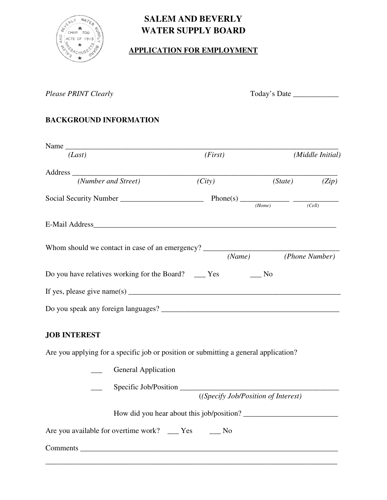

# **SALEM AND BEVERLY WATER SUPPLY BOARD**

# **APPLICATION FOR EMPLOYMENT**

*Please PRINT Clearly*  $\qquad \qquad$  Today's Date  $\qquad \qquad$ 

# **BACKGROUND INFORMATION**

| (Last)                                                | (First) |        | (Middle Initial)      |  |  |
|-------------------------------------------------------|---------|--------|-----------------------|--|--|
|                                                       |         |        |                       |  |  |
| (Number and Street)                                   | (City)  |        | (State)<br>(Zip)      |  |  |
|                                                       |         | (Home) | (Cell)                |  |  |
| E-Mail Address <b>E-Mail Address</b>                  |         |        |                       |  |  |
| Whom should we contact in case of an emergency?       |         |        | (Name) (Phone Number) |  |  |
| Do you have relatives working for the Board? ____ Yes |         | No     |                       |  |  |
|                                                       |         |        |                       |  |  |
|                                                       |         |        |                       |  |  |

# **JOB INTEREST**

Are you applying for a specific job or position or submitting a general application?

|                 | <b>General Application</b>                                   |
|-----------------|--------------------------------------------------------------|
|                 | Specific Job/Position<br>((Specify Job/Position of Interest) |
|                 | How did you hear about this job/position?                    |
|                 | Are you available for overtime work? ____ Yes _____ No       |
| <b>Comments</b> |                                                              |

\_\_\_\_\_\_\_\_\_\_\_\_\_\_\_\_\_\_\_\_\_\_\_\_\_\_\_\_\_\_\_\_\_\_\_\_\_\_\_\_\_\_\_\_\_\_\_\_\_\_\_\_\_\_\_\_\_\_\_\_\_\_\_\_\_\_\_\_\_\_\_\_\_\_\_\_\_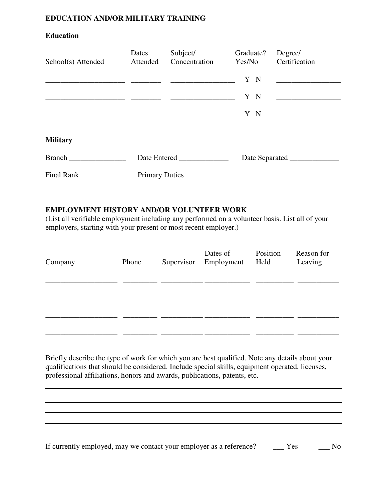### **EDUCATION AND/OR MILITARY TRAINING**

### **Education**

| School(s) Attended | Dates<br>Attended | Subject/<br>Concentration                                                                                            | Graduate?<br>Yes/No | Degree/<br>Certification |  |  |
|--------------------|-------------------|----------------------------------------------------------------------------------------------------------------------|---------------------|--------------------------|--|--|
|                    |                   |                                                                                                                      | Y N                 |                          |  |  |
|                    |                   | <u> 1980 - Jan James James Stein, mars and de la provincia de la provincia de la provincia de la provincia de la</u> | Y N                 |                          |  |  |
|                    |                   |                                                                                                                      | Y N                 |                          |  |  |
| <b>Military</b>    |                   |                                                                                                                      |                     |                          |  |  |
| <b>Branch</b>      |                   | Date Entered                                                                                                         |                     | Date Separated           |  |  |
| Final Rank ______  |                   | Primary Duties                                                                                                       |                     |                          |  |  |

### **EMPLOYMENT HISTORY AND/OR VOLUNTEER WORK**

(List all verifiable employment including any performed on a volunteer basis. List all of your employers, starting with your present or most recent employer.)

| Company | Phone | Dates of<br>Supervisor Employment | Position<br>Held | Reason for<br>Leaving |
|---------|-------|-----------------------------------|------------------|-----------------------|
|         |       |                                   |                  |                       |
|         |       |                                   |                  |                       |

Briefly describe the type of work for which you are best qualified. Note any details about your qualifications that should be considered. Include special skills, equipment operated, licenses, professional affiliations, honors and awards, publications, patents, etc.

If currently employed, may we contact your employer as a reference? \_\_\_\_ Yes \_\_\_\_ No